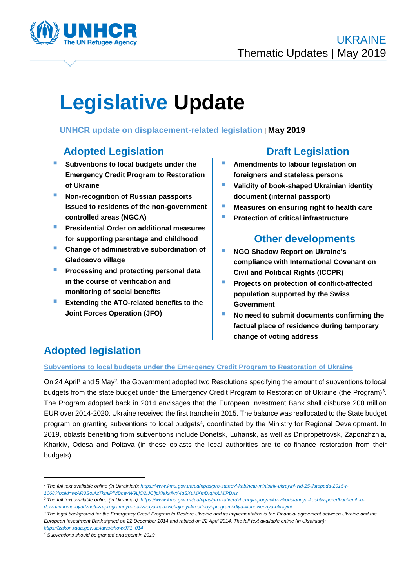

# **Legislative Update**

### **UNHCR update on displacement-related legislation** | **May 2019**

### **Adopted Legislation Draft Legislation**

- **Subventions to local budgets under the Emergency Credit Program to Restoration of Ukraine**
- **Non-recognition of Russian passports issued to residents of the non-government controlled areas (NGCA)**
- **Presidential Order on additional measures for supporting parentage and childhood**
- **Change of administrative subordination of Gladosovo village**
- **Processing and protecting personal data in the course of verification and monitoring of social benefits**
- **Extending the ATO-related benefits to the Joint Forces Operation (JFO)**

- **Amendments to labour legislation on foreigners and stateless persons**
- **Validity of book-shaped Ukrainian identity document (internal passport)**
- **Measures on ensuring right to health care**
- **Protection of critical infrastructure**

### **Other developments**

- **NGO Shadow Report on Ukraine's compliance with International Covenant on Civil and Political Rights (ICCPR)**
- **Projects on protection of conflict-affected population supported by the Swiss Government**
- **No need to submit documents confirming the factual place of residence during temporary change of voting address**

## **Adopted legislation**

### **Subventions to local budgets under the Emergency Credit Program to Restoration of Ukraine**

On 24 April<sup>1</sup> and 5 May<sup>2</sup>, the Government adopted two Resolutions specifying the amount of subventions to local budgets from the state budget under the Emergency Credit Program to Restoration of Ukraine (the Program)<sup>3</sup>. The Program adopted back in 2014 envisages that the European Investment Bank shall disburse 200 million EUR over 2014-2020. Ukraine received the first tranche in 2015. The balance was reallocated to the State budget program on granting subventions to local budgets<sup>4</sup>, coordinated by the Ministry for Regional Development. In 2019, oblasts benefiting from subventions include Donetsk, Luhansk, as well as Dnipropetrovsk, Zaporizhzhia, Kharkiv, Odesa and Poltava (in these oblasts the local authorities are to co-finance restoration from their budgets).

*[https://zakon.rada.gov.ua/laws/show/971\\_014](https://zakon.rada.gov.ua/laws/show/971_014)*

*<sup>1</sup> The full text available online (in Ukrainian): [https://www.kmu.gov.ua/ua/npas/pro-stanovi-kabinetu-ministriv-ukrayini-vid-25-listopada-2015-r-](https://www.kmu.gov.ua/ua/npas/pro-stanovi-kabinetu-ministriv-ukrayini-vid-25-listopada-2015-r-1068?fbclid=IwAR3SoiAz7kmlPiMBcavW9LjO2IJCfjcKfakkfwY4qSXuMXmBIqhoLMlPBAs)[1068?fbclid=IwAR3SoiAz7kmlPiMBcavW9LjO2IJCfjcKfakkfwY4qSXuMXmBIqhoLMlPBAs](https://www.kmu.gov.ua/ua/npas/pro-stanovi-kabinetu-ministriv-ukrayini-vid-25-listopada-2015-r-1068?fbclid=IwAR3SoiAz7kmlPiMBcavW9LjO2IJCfjcKfakkfwY4qSXuMXmBIqhoLMlPBAs)*

*<sup>2</sup> The full text available online (in Ukrainian): [https://www.kmu.gov.ua/ua/npas/pro-zatverdzhennya-poryadku-vikoristannya-koshtiv-peredbachenih-u](https://www.kmu.gov.ua/ua/npas/pro-zatverdzhennya-poryadku-vikoristannya-koshtiv-peredbachenih-u-derzhavnomu-byudzheti-za-programoyu-realizaciya-nadzvichajnoyi-kreditnoyi-programi-dlya-vidnovlennya-ukrayini)[derzhavnomu-byudzheti-za-programoyu-realizaciya-nadzvichajnoyi-kreditnoyi-programi-dlya-vidnovlennya-ukrayini](https://www.kmu.gov.ua/ua/npas/pro-zatverdzhennya-poryadku-vikoristannya-koshtiv-peredbachenih-u-derzhavnomu-byudzheti-za-programoyu-realizaciya-nadzvichajnoyi-kreditnoyi-programi-dlya-vidnovlennya-ukrayini)*

<sup>&</sup>lt;sup>3</sup> The legal background for the Emergency Credit Program to Restore Ukraine and its implementation is the Financial agreement between Ukraine and the *European Investment Bank signed on 22 December 2014 and ratified on 22 April 2014. The full text available online (in Ukrainian):*

*<sup>4</sup> Subventions should be granted and spent in 2019*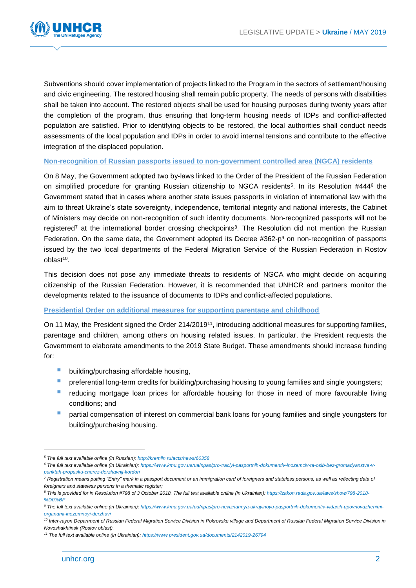

Subventions should cover implementation of projects linked to the Program in the sectors of settlement/housing and civic engineering. The restored housing shall remain public property. The needs of persons with disabilities shall be taken into account. The restored objects shall be used for housing purposes during twenty years after the completion of the program, thus ensuring that long-term housing needs of IDPs and conflict-affected population are satisfied. Prior to identifying objects to be restored, the local authorities shall conduct needs assessments of the local population and IDPs in order to avoid internal tensions and contribute to the effective integration of the displaced population.

### **Non-recognition of Russian passports issued to non-government controlled area (NGCA) residents**

On 8 May, the Government adopted two by-laws linked to the Order of the President of the Russian Federation on simplified procedure for granting Russian citizenship to NGCA residents<sup>5</sup>. In its Resolution #444<sup>6</sup> the Government stated that in cases where another state issues passports in violation of international law with the aim to threat Ukraine's state sovereignty, independence, territorial integrity and national interests, the Cabinet of Ministers may decide on non-recognition of such identity documents. Non-recognized passports will not be registered<sup>7</sup> at the international border crossing checkpoints<sup>8</sup>. The Resolution did not mention the Russian Federation. On the same date, the Government adopted its Decree  $#362-p<sup>9</sup>$  on non-recognition of passports issued by the two local departments of the Federal Migration Service of the Russian Federation in Rostov oblast<sup>10</sup>.

This decision does not pose any immediate threats to residents of NGCA who might decide on acquiring citizenship of the Russian Federation. However, it is recommended that UNHCR and partners monitor the developments related to the issuance of documents to IDPs and conflict-affected populations.

#### **Presidential Order on additional measures for supporting parentage and childhood**

On 11 May, the President signed the Order 214/2019<sup>11</sup>, introducing additional measures for supporting families, parentage and children, among others on housing related issues. In particular, the President requests the Government to elaborate amendments to the 2019 State Budget. These amendments should increase funding for:

- **building/purchasing affordable housing,**
- **P** preferential long-term credits for building/purchasing housing to young families and single youngsters;
- reducing mortgage loan prices for affordable housing for those in need of more favourable living conditions; and
- partial compensation of interest on commercial bank loans for young families and single youngsters for building/purchasing housing.

*<sup>5</sup> The full text available online (in Russian):<http://kremlin.ru/acts/news/60358>*

*<sup>6</sup> The full text available online (in Ukrainian): [https://www.kmu.gov.ua/ua/npas/pro-traciyi-pasportnih-dokumentiv-inozemciv-ta-osib-bez-gromadyanstva-v](https://www.kmu.gov.ua/ua/npas/pro-traciyi-pasportnih-dokumentiv-inozemciv-ta-osib-bez-gromadyanstva-v-punktah-propusku-cherez-derzhavnij-kordon)[punktah-propusku-cherez-derzhavnij-kordon](https://www.kmu.gov.ua/ua/npas/pro-traciyi-pasportnih-dokumentiv-inozemciv-ta-osib-bez-gromadyanstva-v-punktah-propusku-cherez-derzhavnij-kordon)*

*<sup>7</sup> Registration means putting "Entry" mark in a passport document or an immigration card of foreigners and stateless persons, as well as reflecting data of foreigners and stateless persons in a thematic register;*

*<sup>8</sup> This is provided for in Resolution #798 of 3 October 2018. The full text available online (in Ukrainian): [https://zakon.rada.gov.ua/laws/show/798-2018-](https://zakon.rada.gov.ua/laws/show/798-2018-%D0%BF) [%D0%BF](https://zakon.rada.gov.ua/laws/show/798-2018-%D0%BF)*

*<sup>9</sup> The full text available online (in Ukrainian): [https://www.kmu.gov.ua/ua/npas/pro-neviznannya-ukrayinoyu-pasportnih-dokumentiv-vidanih-upovnovazhenimi](https://www.kmu.gov.ua/ua/npas/pro-neviznannya-ukrayinoyu-pasportnih-dokumentiv-vidanih-upovnovazhenimi-organami-inozemnoyi-derzhavi)[organami-inozemnoyi-derzhavi](https://www.kmu.gov.ua/ua/npas/pro-neviznannya-ukrayinoyu-pasportnih-dokumentiv-vidanih-upovnovazhenimi-organami-inozemnoyi-derzhavi)*

<sup>&</sup>lt;sup>10</sup> Inter-rayon Department of Russian Federal Migration Service Division in Pokrovske village and Department of Russian Federal Migration Service Division in *Novoshakhtinsk (Rostov oblast).*

*<sup>11</sup> The full text available online (in Ukrainian):<https://www.president.gov.ua/documents/2142019-26794>*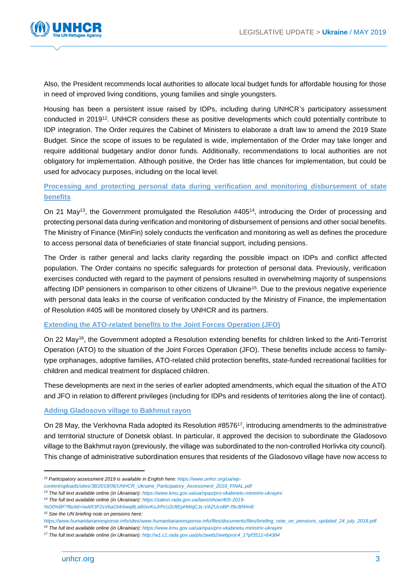

Also, the President recommends local authorities to allocate local budget funds for affordable housing for those in need of improved living conditions, young families and single youngsters.

Housing has been a persistent issue raised by IDPs, including during UNHCR's participatory assessment conducted in 2019<sup>12</sup>. UNHCR considers these as positive developments which could potentially contribute to IDP integration. The Order requires the Cabinet of Ministers to elaborate a draft law to amend the 2019 State Budget. Since the scope of issues to be regulated is wide, implementation of the Order may take longer and require additional budgetary and/or donor funds. Additionally, recommendations to local authorities are not obligatory for implementation. Although positive, the Order has little chances for implementation, but could be used for advocacy purposes, including on the local level.

### **Processing and protecting personal data during verification and monitoring disbursement of state benefits**

On 21 May<sup>13</sup>, the Government promulgated the Resolution #405<sup>14</sup>, introducing the Order of processing and protecting personal data during verification and monitoring of disbursement of pensions and other social benefits. The Ministry of Finance (MinFin) solely conducts the verification and monitoring as well as defines the procedure to access personal data of beneficiaries of state financial support, including pensions.

The Order is rather general and lacks clarity regarding the possible impact on IDPs and conflict affected population. The Order contains no specific safeguards for protection of personal data. Previously, verification exercises conducted with regard to the payment of pensions resulted in overwhelming majority of suspensions affecting IDP pensioners in comparison to other citizens of Ukraine<sup>15</sup>. Due to the previous negative experience with personal data leaks in the course of verification conducted by the Ministry of Finance, the implementation of Resolution #405 will be monitored closely by UNHCR and its partners.

### **Extending the ATO-related benefits to the Joint Forces Operation (JFO)**

On 22 May<sup>16</sup>, the Government adopted a Resolution extending benefits for children linked to the Anti-Terrorist Operation (ATO) to the situation of the Joint Forces Operation (JFO). These benefits include access to familytype orphanages, adoptive families, ATO-related child protection benefits, state-funded recreational facilities for children and medical treatment for displaced children.

These developments are next in the series of earlier adopted amendments, which equal the situation of the ATO and JFO in relation to different privileges (including for IDPs and residents of territories along the line of contact).

### **Adding Gladosovo village to Bakhmut rayon**

On 28 May, the Verkhovna Rada adopted its Resolution #8576<sup>17</sup>, introducing amendments to the administrative and territorial structure of Donetsk oblast. In particular, it approved the decision to subordinate the Gladosovo village to the Bakhmut rayon (previously, the village was subordinated to the non-controlled Horlivka city council). This change of administrative subordination ensures that residents of the Gladosovo village have now access to

*<sup>15</sup> See the UN briefing note on pensions here:* 

*<sup>12</sup> Participatory assessment 2019 is available in English here[: https://www.unhcr.org/ua/wp-](https://www.unhcr.org/ua/wp-content/uploads/sites/38/2019/06/UNHCR_Ukraine_Participatory_Assessment_2019_FINAL.pdf)*

*[content/uploads/sites/38/2019/06/UNHCR\\_Ukraine\\_Participatory\\_Assessment\\_2019\\_FINAL.pdf](https://www.unhcr.org/ua/wp-content/uploads/sites/38/2019/06/UNHCR_Ukraine_Participatory_Assessment_2019_FINAL.pdf)*

*<sup>13</sup> The full text available online (in Ukrainian): <https://www.kmu.gov.ua/ua/npas/pro-vkabinetu-ministriv-ukrayini>*

*<sup>14</sup> The full text available online (in Ukrainian): [https://zakon.rada.gov.ua/laws/show/405-2019-](https://zakon.rada.gov.ua/laws/show/405-2019-%D0%BF?fbclid=IwAR3F2sVbaOI4rbwq8La90xvKoJrPcU2cftEpHWqCJs-VAZUcnBP-f9v3tf4#n8)*

*[<sup>%</sup>D0%BF?fbclid=IwAR3F2sVbaOI4rbwq8La90xvKoJrPcU2cftEpHWqCJs-VAZUcnBP-f9v3tf4#n8](https://zakon.rada.gov.ua/laws/show/405-2019-%D0%BF?fbclid=IwAR3F2sVbaOI4rbwq8La90xvKoJrPcU2cftEpHWqCJs-VAZUcnBP-f9v3tf4#n8)*

*[https://www.humanitarianresponse.info/sites/www.humanitarianresponse.info/files/documents/files/briefing\\_note\\_on\\_pensions\\_updated\\_24\\_july\\_2018.pdf](https://www.humanitarianresponse.info/sites/www.humanitarianresponse.info/files/documents/files/briefing_note_on_pensions_updated_24_july_2018.pdf)*

*<sup>16</sup> The full text available online (in Ukrainian): <https://www.kmu.gov.ua/ua/npas/pro-vkabinetu-ministriv-ukrayini>*

*<sup>17</sup> The full text available online (in Ukrainian): [http://w1.c1.rada.gov.ua/pls/zweb2/webproc4\\_1?pf3511=64384](http://w1.c1.rada.gov.ua/pls/zweb2/webproc4_1?pf3511=64384)*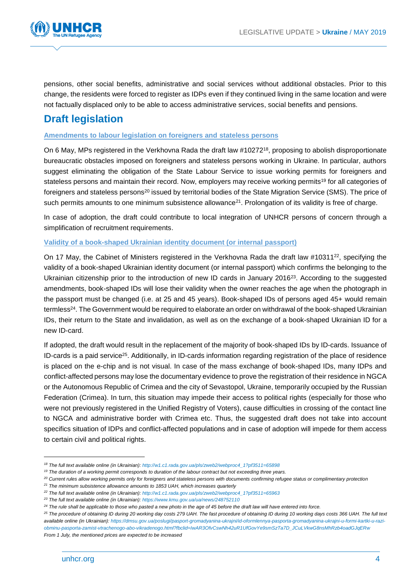

pensions, other social benefits, administrative and social services without additional obstacles. Prior to this change, the residents were forced to register as IDPs even if they continued living in the same location and were not factually displaced only to be able to access administrative services, social benefits and pensions.

### **Draft legislation**

### **Amendments to labour legislation on foreigners and stateless persons**

On 6 May, MPs registered in the Verkhovna Rada the draft law #10272<sup>18</sup>, proposing to abolish disproportionate bureaucratic obstacles imposed on foreigners and stateless persons working in Ukraine. In particular, authors suggest eliminating the obligation of the State Labour Service to issue working permits for foreigners and stateless persons and maintain their record. Now, employers may receive working permits<sup>19</sup> for all categories of foreigners and stateless persons<sup>20</sup> issued by territorial bodies of the State Migration Service (SMS). The price of such permits amounts to one minimum subsistence allowance<sup>21</sup>. Prolongation of its validity is free of charge.

In case of adoption, the draft could contribute to local integration of UNHCR persons of concern through a simplification of recruitment requirements.

### **Validity of a book-shaped Ukrainian identity document (or internal passport)**

On 17 May, the Cabinet of Ministers registered in the Verkhovna Rada the draft law #10311<sup>22</sup>, specifying the validity of a book-shaped Ukrainian identity document (or internal passport) which confirms the belonging to the Ukrainian citizenship prior to the introduction of new ID cards in January 2016<sup>23</sup>. According to the suggested amendments, book-shaped IDs will lose their validity when the owner reaches the age when the photograph in the passport must be changed (i.e. at 25 and 45 years). Book-shaped IDs of persons aged 45+ would remain termless<sup>24</sup>. The Government would be required to elaborate an order on withdrawal of the book-shaped Ukrainian IDs, their return to the State and invalidation, as well as on the exchange of a book-shaped Ukrainian ID for a new ID-card.

If adopted, the draft would result in the replacement of the majority of book-shaped IDs by ID-cards. Issuance of ID-cards is a paid service<sup>25</sup>. Additionally, in ID-cards information regarding registration of the place of residence is placed on the e-chip and is not visual. In case of the mass exchange of book-shaped IDs, many IDPs and conflict-affected persons may lose the documentary evidence to prove the registration of their residence in NGCA or the Autonomous Republic of Crimea and the city of Sevastopol, Ukraine, temporarily occupied by the Russian Federation (Crimea). In turn, this situation may impede their access to political rights (especially for those who were not previously registered in the Unified Registry of Voters), cause difficulties in crossing of the contact line to NGCA and administrative border with Crimea etc. Thus, the suggested draft does not take into account specifics situation of IDPs and conflict-affected populations and in case of adoption will impede for them access to certain civil and political rights.

*<sup>18</sup> The full text available online (in Ukrainian): [http://w1.c1.rada.gov.ua/pls/zweb2/webproc4\\_1?pf3511=65898](http://w1.c1.rada.gov.ua/pls/zweb2/webproc4_1?pf3511=65898)*

*<sup>19</sup> The duration of a working permit corresponds to duration of the labour contract but not exceeding three years.*

*<sup>20</sup> Current rules allow working permits only for foreigners and stateless persons with documents confirming refugee status or complimentary protection* 

*<sup>21</sup> The minimum subsistence allowance amounts to 1853 UAH, which increases quarterly*

*<sup>22</sup> The full text available online (in Ukrainian): [http://w1.c1.rada.gov.ua/pls/zweb2/webproc4\\_1?pf3511=65963](http://w1.c1.rada.gov.ua/pls/zweb2/webproc4_1?pf3511=65963)*

*<sup>23</sup> The full text available online (in Ukrainian): <https://www.kmu.gov.ua/ua/news/248752110>*

*<sup>24</sup> The rule shall be applicable to those who pasted a new photo in the age of 45 before the draft law will have entered into force.*

*<sup>25</sup> The procedure of obtaining ID during 20 working day costs 279 UAH. The fast procedure of obtaining ID during 10 working days costs 366 UAH. The full text available online (in Ukrainian)[: https://dmsu.gov.ua/poslugi/pasport-gromadyanina-ukrajni/id-oformlennya-pasporta-gromadyanina-ukrajni-u-formi-kartki-u-razi](https://dmsu.gov.ua/poslugi/pasport-gromadyanina-ukrajni/id-oformlennya-pasporta-gromadyanina-ukrajni-u-formi-kartki-u-razi-obminu-pasporta-zamist-vtrachenogo-abo-vikradenogo.html?fbclid=IwAR3OfvCswNh42uR1UfGovYe9smSzTa7D_JCuLVkwG8nsMhRzb4oadGJqERw)[obminu-pasporta-zamist-vtrachenogo-abo-vikradenogo.html?fbclid=IwAR3OfvCswNh42uR1UfGovYe9smSzTa7D\\_JCuLVkwG8nsMhRzb4oadGJqERw](https://dmsu.gov.ua/poslugi/pasport-gromadyanina-ukrajni/id-oformlennya-pasporta-gromadyanina-ukrajni-u-formi-kartki-u-razi-obminu-pasporta-zamist-vtrachenogo-abo-vikradenogo.html?fbclid=IwAR3OfvCswNh42uR1UfGovYe9smSzTa7D_JCuLVkwG8nsMhRzb4oadGJqERw)*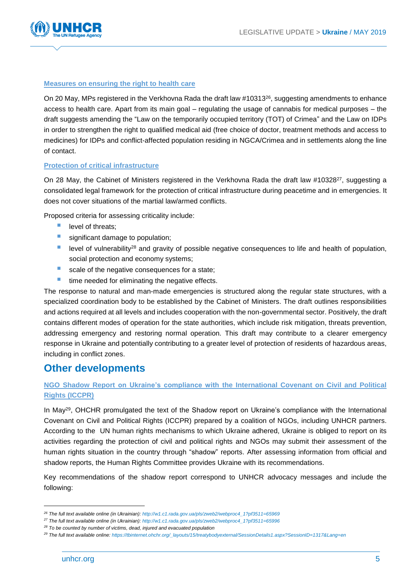

### **Measures on ensuring the right to health care**

On 20 May, MPs registered in the Verkhovna Rada the draft law #10313 $^{26}$ , suggesting amendments to enhance access to health care. Apart from its main goal – regulating the usage of cannabis for medical purposes – the draft suggests amending the "Law on the temporarily occupied territory (TOT) of Crimea" and the Law on IDPs in order to strengthen the right to qualified medical aid (free choice of doctor, treatment methods and access to medicines) for IDPs and conflict-affected population residing in NGCA/Crimea and in settlements along the line of contact.

### **Protection of critical infrastructure**

On 28 May, the Cabinet of Ministers registered in the Verkhovna Rada the draft law #10328<sup>27</sup>, suggesting a consolidated legal framework for the protection of critical infrastructure during peacetime and in emergencies. It does not cover situations of the martial law/armed conflicts.

Proposed criteria for assessing criticality include:

- level of threats;
- significant damage to population;
- level of vulnerability<sup>28</sup> and gravity of possible negative consequences to life and health of population, social protection and economy systems;
- scale of the negative consequences for a state;
- $\blacksquare$  time needed for eliminating the negative effects.

The response to natural and man-made emergencies is structured along the regular state structures, with a specialized coordination body to be established by the Cabinet of Ministers. The draft outlines responsibilities and actions required at all levels and includes cooperation with the non-governmental sector. Positively, the draft contains different modes of operation for the state authorities, which include risk mitigation, threats prevention, addressing emergency and restoring normal operation. This draft may contribute to a clearer emergency response in Ukraine and potentially contributing to a greater level of protection of residents of hazardous areas, including in conflict zones.

### **Other developments**

### **NGO Shadow Report on Ukraine's compliance with the International Covenant on Civil and Political Rights (ICCPR)**

In May<sup>29</sup>, OHCHR promulgated the text of the Shadow report on Ukraine's compliance with the International Covenant on Civil and Political Rights (ICCPR) prepared by a coalition of NGOs, including UNHCR partners. According to the UN human rights mechanisms to which Ukraine adhered, Ukraine is obliged to report on its activities regarding the protection of civil and political rights and NGOs may submit their assessment of the human rights situation in the country through "shadow" reports. After assessing information from official and shadow reports, the Human Rights Committee provides Ukraine with its recommendations.

Key recommendations of the shadow report correspond to UNHCR advocacy messages and include the following:

1

*<sup>26</sup> The full text available online (in Ukrainian): [http://w1.c1.rada.gov.ua/pls/zweb2/webproc4\\_1?pf3511=65969](http://w1.c1.rada.gov.ua/pls/zweb2/webproc4_1?pf3511=65969)*

*<sup>27</sup> The full text available online (in Ukrainian): [http://w1.c1.rada.gov.ua/pls/zweb2/webproc4\\_1?pf3511=65996](http://w1.c1.rada.gov.ua/pls/zweb2/webproc4_1?pf3511=65996)*

*<sup>28</sup> To be counted by number of victims, dead, injured and evacuated population* 

*<sup>29</sup> The full text available online: [https://tbinternet.ohchr.org/\\_layouts/15/treatybodyexternal/SessionDetails1.aspx?SessionID=1317&Lang=en](https://tbinternet.ohchr.org/_layouts/15/treatybodyexternal/SessionDetails1.aspx?SessionID=1317&Lang=en)*